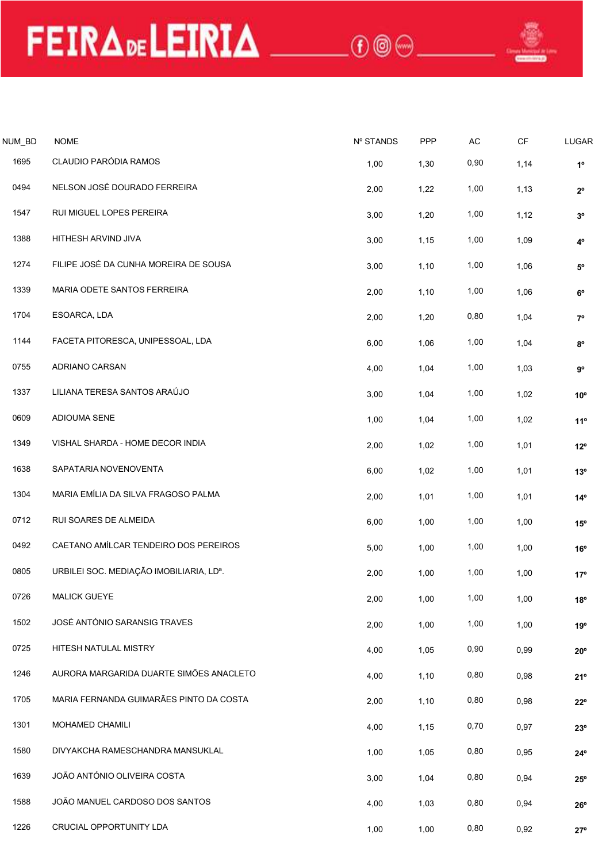NUM\_BD NOME<br>
NUM\_BD NOME<br>
CLAUDIO PARÓDIA.RAMOS<br>
O494 NELSONJOSÉ DOURADO FERREIRA<br>
O494 NELSONJOSÉ DOURADO FERREIRA<br>
O494 NELSONJOSÉ DOURADO FERREIRA THE TRADE LETRIA CONSIDERACION PARÓDIA RAMOS<br>
1695 CLAUDIO PARÓDIA RAMOS<br>
1695 CLAUDIO PARÓDIA RAMOS<br>
1647 RUI MIGUEL LOPES PEREIRA<br>
1647 RUI MIGUEL LOPES PEREIRA<br>
1647 RUI MIGUEL LOPES PEREIRA<br>
1647 RUI MIGUEL LOPES PERE MLED NOME<br>
MLED NOME<br>
1695 CLAUDIOPARÓDIA.RAMOS<br>
1694 NELSON JOSÉ DOURADO FERREIRA 2,00 1,30 0.90 1,14 1°<br>
1647 RUI MIGUEL LOPES PEREIRA 2,00 1,22 1,00 1,13 2°<br>
1798 HITHESH ARVIND JIVA 3,00 1,15 1,00 1,09 4° M\_BD NOME<br>
1695 CLAUDIO PARÓDIA RAMOS<br>
1695 CLAUDIO PARÓDIA RAMOS<br>
1694 NELSON JOSÉ DOURADO FERREIRA<br>
1547 RUI MIGUEL LOPES PEREIRA<br>
1547 RUI MIGUEL LOPES PEREIRA<br>
1547 RUI MIGUEL LOPES PEREIRA<br>
1547 RUI MIGUEL LOPES PERE 1488 HITHESH ARVIND UVAN MORE RADIO ERREIRA<br>1388 HITHESH ARVIND UVAN ARMOS<br>1388 HITHESH ARVIND UVAN ARMOS CLAUDIO PER REIRA<br>1388 HITHESH ARVIND UVAN ARVIND UVAN 3,00 1,15 1,15 1,15 1,15 1<br>1388 HITHESH ARVIND UVAN ARVERE RA 1274 FUIRCIARD CHERENA ESCARGO A CUNDID PARTOLOGIES PEREIRA<br>1387 RUI MIGUEL LOPES PEREIRA<br>1387 RUI MIGUEL LOPES PEREIRA<br>1387 RUI MIGUEL LOPES PEREIRA<br>1388 HITHESH ARVINO JIVA<br>1398 HITHESH ARVINO JIVA<br>1398 MARIA ODETE SANTO 1339 MARIA ODETE SANTOS FERREIRA 2,00 1,06 1,10 1,00 6º 1704 ESOARCA, LDA 1704 ESOARCA, LDA 200 1,20 0,80 1,04 16<br>1704 ESOARCA, LDA 2,00 1,10 1,09 1,10 1,09 1,10<br>1704 ENTIFESH ARVIND JIVA<br>1704 ENTIFESH ARVIND JIVA<br>1704 ESOARCA, LDA 2,00 1,10 1,10 1,09 4<br>1704 ESOARCA, LDA 2,00 1

| <b>JUM_BD</b> | <b>NOME</b>                             | Nº STANDS | PPP  | $\mathsf{AC}$ | $\mathsf{C}\mathsf{F}$ | LUGAR        |
|---------------|-----------------------------------------|-----------|------|---------------|------------------------|--------------|
| 1695          | CLAUDIO PARÓDIA RAMOS                   | 1,00      | 1,30 | 0,90          | 1,14                   | $1^{\circ}$  |
| 0494          | NELSON JOSÉ DOURADO FERREIRA            | 2,00      | 1,22 | 1,00          | 1,13                   | $2^{\circ}$  |
| 1547          | RUI MIGUEL LOPES PEREIRA                | 3,00      | 1,20 | 1,00          | 1,12                   | $3^{\circ}$  |
| 1388          | HITHESH ARVIND JIVA                     | 3,00      | 1,15 | 1,00          | 1,09                   | $4^{\circ}$  |
| 1274          | FILIPE JOSÉ DA CUNHA MOREIRA DE SOUSA   | 3,00      | 1,10 | 1,00          | 1,06                   | $5^{\circ}$  |
| 1339          | MARIA ODETE SANTOS FERREIRA             | 2,00      | 1,10 | 1,00          | 1,06                   | $6^{\circ}$  |
| 1704          | ESOARCA, LDA                            | 2,00      | 1,20 | 0,80          | 1,04                   | $7^{\circ}$  |
| 1144          | FACETA PITORESCA, UNIPESSOAL, LDA       | 6,00      | 1,06 | 1,00          | 1,04                   | $8^{\circ}$  |
| 0755          | ADRIANO CARSAN                          | 4,00      | 1,04 | 1,00          | 1,03                   | $9^{\circ}$  |
| 1337          | LILIANA TERESA SANTOS ARAÚJO            | 3,00      | 1,04 | 1,00          | 1,02                   | $10^{\circ}$ |
| 0609          | ADIOUMA SENE                            | 1,00      | 1,04 | 1,00          | 1,02                   | 11°          |
| 1349          | VISHAL SHARDA - HOME DECOR INDIA        | 2,00      | 1,02 | 1,00          | 1,01                   | $12^{\circ}$ |
| 1638          | SAPATARIA NOVENOVENTA                   | 6,00      | 1,02 | 1,00          | 1,01                   | 13°          |
| 1304          | MARIA EMÍLIA DA SILVA FRAGOSO PALMA     | 2,00      | 1,01 | 1,00          | 1,01                   | $14^{\circ}$ |
| 0712          | RUI SOARES DE ALMEIDA                   | 6,00      | 1,00 | 1,00          | 1,00                   | $15^{\circ}$ |
| 0492          | CAETANO AMÍLCAR TENDEIRO DOS PEREIROS   | 5,00      | 1,00 | 1,00          | 1,00                   | 16°          |
| 0805          | URBILEI SOC. MEDIAÇÃO IMOBILIARIA, LDª. | 2,00      | 1,00 | 1,00          | 1,00                   | $17^{\circ}$ |
| 0726          | <b>MALICK GUEYE</b>                     | 2,00      | 1,00 | 1,00          | 1,00                   | $18^{\circ}$ |
| 1502          | JOSÉ ANTÓNIO SARANSIG TRAVES            | 2,00      | 1,00 | 1,00          | 1,00                   | 19°          |
| 0725          | HITESH NATULAL MISTRY                   | 4,00      | 1,05 | 0,90          | 0,99                   | $20^{\circ}$ |
| 1246          | AURORA MARGARIDA DUARTE SIMÕES ANACLETO | 4,00      | 1,10 | 0,80          | 0,98                   | 21°          |
| 1705          | MARIA FERNANDA GUIMARÃES PINTO DA COSTA | 2,00      | 1,10 | 0,80          | 0,98                   | $22^{\circ}$ |
| 1301          | MOHAMED CHAMILI                         | 4,00      | 1,15 | 0,70          | 0,97                   | $23^{\circ}$ |
| 1580          | DIVYAKCHA RAMESCHANDRA MANSUKLAL        | 1,00      | 1,05 | 0,80          | 0,95                   | $24^{\circ}$ |
| 1639          | JOÃO ANTÓNIO OLIVEIRA COSTA             | 3,00      | 1,04 | 0,80          | 0,94                   | $25^{\circ}$ |
| 1588          | JOÃO MANUEL CARDOSO DOS SANTOS          | 4,00      | 1,03 | 0,80          | 0,94                   | $26^{\circ}$ |
| 1226          | CRUCIAL OPPORTUNITY LDA                 | 1,00      | 1,00 | 0,80          | 0,92                   | $27^{\circ}$ |
|               |                                         |           |      |               |                        |              |
|               |                                         |           |      |               |                        |              |